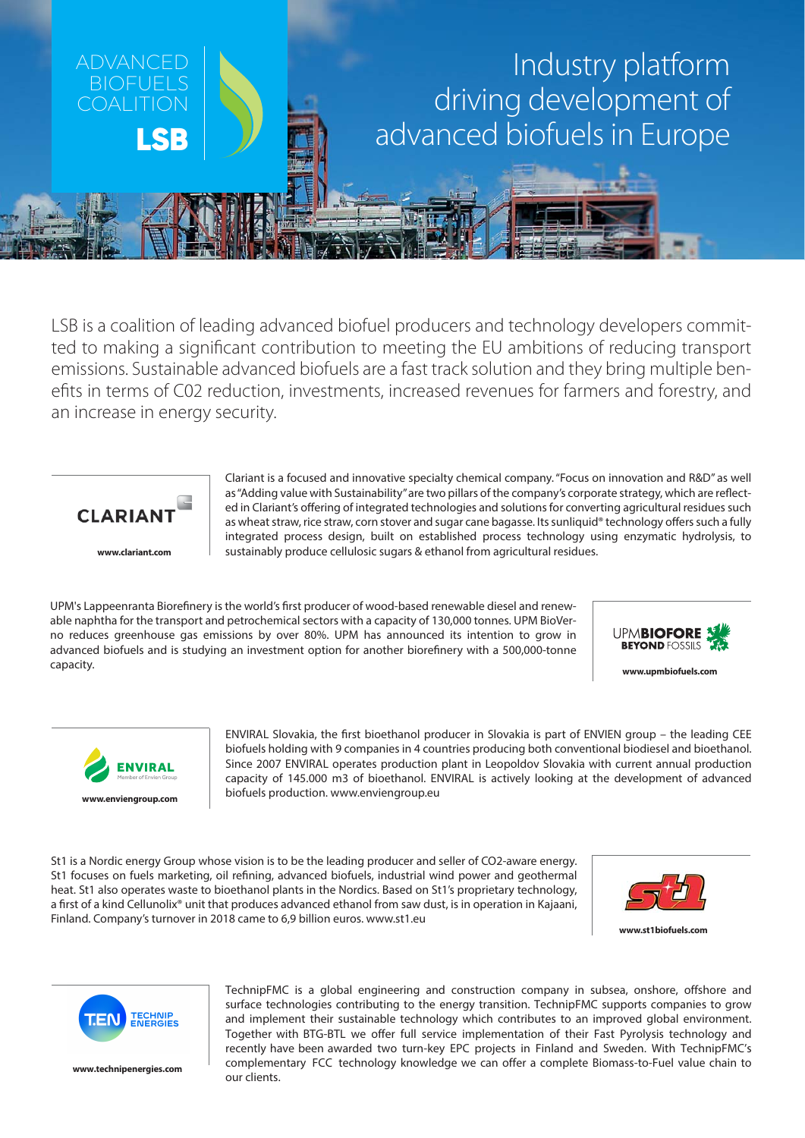

LSB is a coalition of leading advanced biofuel producers and technology developers committed to making a significant contribution to meeting the EU ambitions of reducing transport emissions. Sustainable advanced biofuels are a fast track solution and they bring multiple benefits in terms of C02 reduction, investments, increased revenues for farmers and forestry, and an increase in energy security.



**www.clariant.com**

Clariant is a focused and innovative specialty chemical company. "Focus on innovation and R&D" as well as "Adding value with Sustainability" are two pillars of the company's corporate strategy, which are reflected in Clariant's offering of integrated technologies and solutions for converting agricultural residues such as wheat straw, rice straw, corn stover and sugar cane bagasse. Its sunliquid® technology offers such a fully integrated process design, built on established process technology using enzymatic hydrolysis, to sustainably produce cellulosic sugars & ethanol from agricultural residues.

UPM's Lappeenranta Biorefinery is the world's first producer of wood-based renewable diesel and renewable naphtha for the transport and petrochemical sectors with a capacity of 130,000 tonnes. UPM BioVerno reduces greenhouse gas emissions by over 80%. UPM has announced its intention to grow in advanced biofuels and is studying an investment option for another biorefinery with a 500,000-tonne capacity.



**www.upmbiofuels.com**



ENVIRAL Slovakia, the first bioethanol producer in Slovakia is part of ENVIEN group – the leading CEE biofuels holding with 9 companies in 4 countries producing both conventional biodiesel and bioethanol. Since 2007 ENVIRAL operates production plant in Leopoldov Slovakia with current annual production capacity of 145.000 m3 of bioethanol. ENVIRAL is actively looking at the development of advanced biofuels production. www.enviengroup.eu

St1 is a Nordic energy Group whose vision is to be the leading producer and seller of CO2-aware energy. St1 focuses on fuels marketing, oil refining, advanced biofuels, industrial wind power and geothermal heat. St1 also operates waste to bioethanol plants in the Nordics. Based on St1's proprietary technology, a first of a kind Cellunolix® unit that produces advanced ethanol from saw dust, is in operation in Kajaani, Finland. Company's turnover in 2018 came to 6,9 billion euros. www.st1.eu



**www.st1biofuels.com**



**www.technipenergies.com**

TechnipFMC is a global engineering and construction company in subsea, onshore, offshore and surface technologies contributing to the energy transition. TechnipFMC supports companies to grow and implement their sustainable technology which contributes to an improved global environment. Together with BTG-BTL we offer full service implementation of their Fast Pyrolysis technology and recently have been awarded two turn-key EPC projects in Finland and Sweden. With TechnipFMC's complementary FCC technology knowledge we can offer a complete Biomass-to-Fuel value chain to our clients.